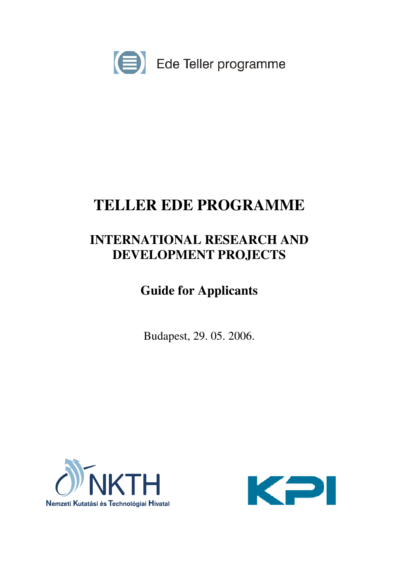

# **TELLER EDE PROGRAMME**

# **INTERNATIONAL RESEARCH AND DEVELOPMENT PROJECTS**

# **Guide for Applicants**

Budapest, 29. 05. 2006.



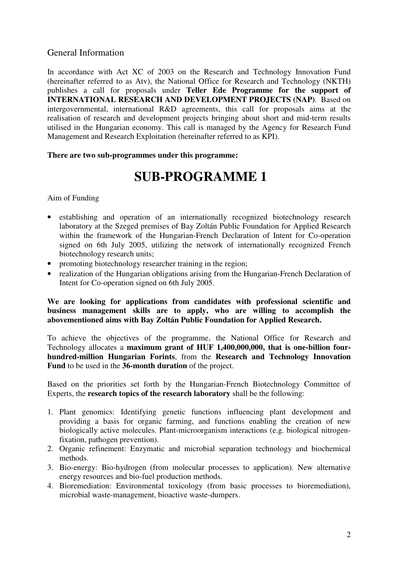# General Information

In accordance with Act XC of 2003 on the Research and Technology Innovation Fund (hereinafter referred to as Atv), the National Office for Research and Technology (NKTH) publishes a call for proposals under **Teller Ede Programme for the support of INTERNATIONAL RESEARCH AND DEVELOPMENT PROJECTS (NAP)**. Based on intergovernmental, international R&D agreements, this call for proposals aims at the realisation of research and development projects bringing about short and mid-term results utilised in the Hungarian economy. This call is managed by the Agency for Research Fund Management and Research Exploitation (hereinafter referred to as KPI).

#### **There are two sub-programmes under this programme:**

# **SUB-PROGRAMME 1**

Aim of Funding

- establishing and operation of an internationally recognized biotechnology research laboratory at the Szeged premises of Bay Zoltán Public Foundation for Applied Research within the framework of the Hungarian-French Declaration of Intent for Co-operation signed on 6th July 2005, utilizing the network of internationally recognized French biotechnology research units;
- promoting biotechnology researcher training in the region;
- realization of the Hungarian obligations arising from the Hungarian-French Declaration of Intent for Co-operation signed on 6th July 2005.

**We are looking for applications from candidates with professional scientific and business management skills are to apply, who are willing to accomplish the abovementioned aims with Bay Zoltán Public Foundation for Applied Research.**

To achieve the objectives of the programme, the National Office for Research and Technology allocates a **maximum grant of HUF 1,400,000,000, that is one-billion fourhundred-million Hungarian Forints**, from the **Research and Technology Innovation Fund** to be used in the **36-month duration** of the project.

Based on the priorities set forth by the Hungarian-French Biotechnology Committee of Experts, the **research topics of the research laboratory** shall be the following:

- 1. Plant genomics: Identifying genetic functions influencing plant development and providing a basis for organic farming, and functions enabling the creation of new biologically active molecules. Plant-microorganism interactions (e.g. biological nitrogenfixation, pathogen prevention).
- 2. Organic refinement: Enzymatic and microbial separation technology and biochemical methods.
- 3. Bio-energy: Bio-hydrogen (from molecular processes to application). New alternative energy resources and bio-fuel production methods.
- 4. Bioremediation: Environmental toxicology (from basic processes to bioremediation), microbial waste-management, bioactive waste-dumpers.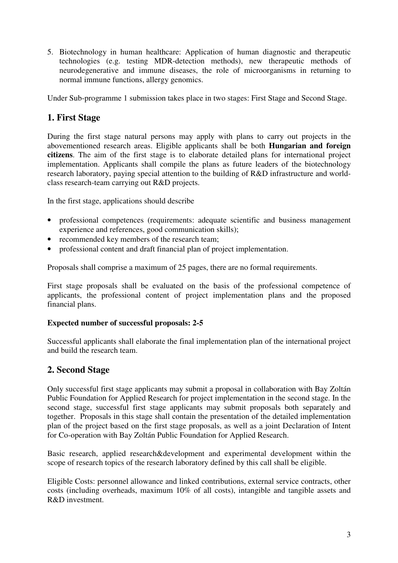5. Biotechnology in human healthcare: Application of human diagnostic and therapeutic technologies (e.g. testing MDR-detection methods), new therapeutic methods of neurodegenerative and immune diseases, the role of microorganisms in returning to normal immune functions, allergy genomics.

Under Sub-programme 1 submission takes place in two stages: First Stage and Second Stage.

# **1. First Stage**

During the first stage natural persons may apply with plans to carry out projects in the abovementioned research areas. Eligible applicants shall be both **Hungarian and foreign citizens**. The aim of the first stage is to elaborate detailed plans for international project implementation. Applicants shall compile the plans as future leaders of the biotechnology research laboratory, paying special attention to the building of R&D infrastructure and worldclass research-team carrying out R&D projects.

In the first stage, applications should describe

- professional competences (requirements: adequate scientific and business management experience and references, good communication skills);
- recommended key members of the research team;
- professional content and draft financial plan of project implementation.

Proposals shall comprise a maximum of 25 pages, there are no formal requirements.

First stage proposals shall be evaluated on the basis of the professional competence of applicants, the professional content of project implementation plans and the proposed financial plans.

#### **Expected number of successful proposals: 2-5**

Successful applicants shall elaborate the final implementation plan of the international project and build the research team.

## **2. Second Stage**

Only successful first stage applicants may submit a proposal in collaboration with Bay Zoltán Public Foundation for Applied Research for project implementation in the second stage. In the second stage, successful first stage applicants may submit proposals both separately and together. Proposals in this stage shall contain the presentation of the detailed implementation plan of the project based on the first stage proposals, as well as a joint Declaration of Intent for Co-operation with Bay Zoltán Public Foundation for Applied Research.

Basic research, applied research&development and experimental development within the scope of research topics of the research laboratory defined by this call shall be eligible.

Eligible Costs: personnel allowance and linked contributions, external service contracts, other costs (including overheads, maximum 10% of all costs), intangible and tangible assets and R&D investment.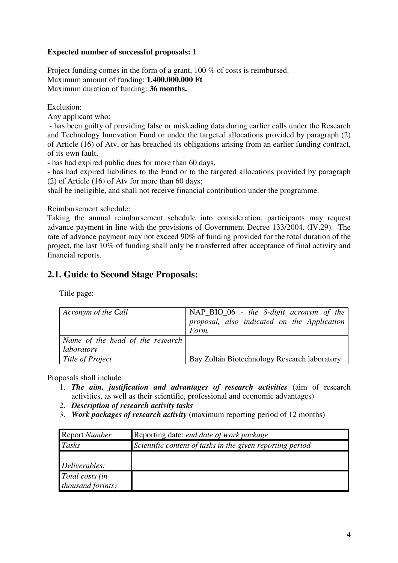#### **Expected number of successful proposals: 1**

Project funding comes in the form of a grant, 100 % of costs is reimbursed. Maximum amount of funding: **1.400.000.000 Ft** Maximum duration of funding: **36 months.**

Exclusion:

Any applicant who:

 - has been guilty of providing false or misleading data during earlier calls under the Research and Technology Innovation Fund or under the targeted allocations provided by paragraph (2) of Article (16) of Atv, or has breached its obligations arising from an earlier funding contract, of its own fault,

- has had expired public dues for more than 60 days,

- has had expired liabilities to the Fund or to the targeted allocations provided by paragraph (2) of Article (16) of Atv for more than 60 days;

shall be ineligible, and shall not receive financial contribution under the programme.

Reimbursement schedule:

Taking the annual reimbursement schedule into consideration, participants may request advance payment in line with the provisions of Government Decree 133/2004. (IV.29). The rate of advance payment may not exceed 90% of funding provided for the total duration of the project, the last 10% of funding shall only be transferred after acceptance of final activity and financial reports.

# **2.1. Guide to Second Stage Proposals:**

Title page:

| Acronym of the Call              | $\vert$ NAP_BIO_06 - the 8-digit acronym of the |
|----------------------------------|-------------------------------------------------|
|                                  | proposal, also indicated on the Application     |
|                                  | Form.                                           |
| Name of the head of the research |                                                 |
| laboratory                       |                                                 |
| Title of Project                 | Bay Zoltán Biotechnology Research laboratory    |

Proposals shall include

- 1. *The aim, justification and advantages of research activities* (aim of research activities, as well as their scientific, professional and economic advantages)
- 2. *Description of research activity tasks*
- 3. *Work packages of research activity* (maximum reporting period of 12 months)

| <b>Report Number</b>      | Reporting date: <i>end date of work package</i>           |
|---------------------------|-----------------------------------------------------------|
| Tasks                     | Scientific content of tasks in the given reporting period |
|                           |                                                           |
| Deliverables:             |                                                           |
| Total costs (in           |                                                           |
| <i>thousand forints</i> ) |                                                           |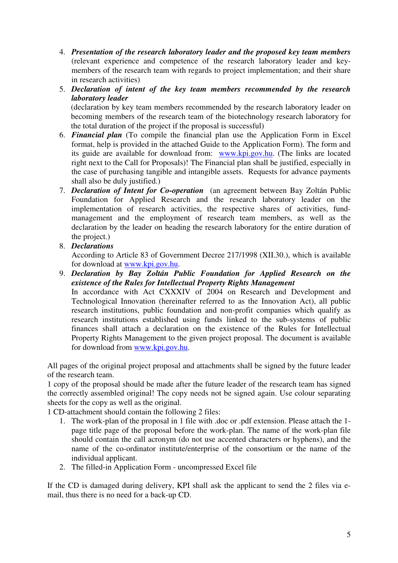- 4. *Presentation of the research laboratory leader and the proposed key team members*  (relevant experience and competence of the research laboratory leader and keymembers of the research team with regards to project implementation; and their share in research activities)
- 5. *Declaration of intent of the key team members recommended by the research laboratory leader*

(declaration by key team members recommended by the research laboratory leader on becoming members of the research team of the biotechnology research laboratory for the total duration of the project if the proposal is successful)

- 6. *Financial plan* (To compile the financial plan use the Application Form in Excel format, help is provided in the attached Guide to the Application Form). The form and its guide are available for download from: www.kpi.gov.hu. (The links are located right next to the Call for Proposals)! The Financial plan shall be justified, especially in the case of purchasing tangible and intangible assets. Requests for advance payments shall also be duly justified.)
- 7. *Declaration of Intent for Co-operation* (an agreement between Bay Zoltán Public Foundation for Applied Research and the research laboratory leader on the implementation of research activities, the respective shares of activities, fundmanagement and the employment of research team members, as well as the declaration by the leader on heading the research laboratory for the entire duration of the project.)
- 8. *Declarations*

According to Article 83 of Government Decree 217/1998 (XII.30.), which is available for download at www.kpi.gov.hu.

9. *Declaration by Bay Zoltán Public Foundation for Applied Research on the existence of the Rules for Intellectual Property Rights Management* In accordance with Act CXXXIV of 2004 on Research and Development and Technological Innovation (hereinafter referred to as the Innovation Act), all public research institutions, public foundation and non-profit companies which qualify as research institutions established using funds linked to the sub-systems of public finances shall attach a declaration on the existence of the Rules for Intellectual Property Rights Management to the given project proposal. The document is available for download from www.kpi.gov.hu.

All pages of the original project proposal and attachments shall be signed by the future leader of the research team.

1 copy of the proposal should be made after the future leader of the research team has signed the correctly assembled original! The copy needs not be signed again. Use colour separating sheets for the copy as well as the original.

1 CD-attachment should contain the following 2 files:

- 1. The work-plan of the proposal in 1 file with .doc or .pdf extension. Please attach the 1 page title page of the proposal before the work-plan. The name of the work-plan file should contain the call acronym (do not use accented characters or hyphens), and the name of the co-ordinator institute/enterprise of the consortium or the name of the individual applicant.
- 2. The filled-in Application Form uncompressed Excel file

If the CD is damaged during delivery, KPI shall ask the applicant to send the 2 files via email, thus there is no need for a back-up CD.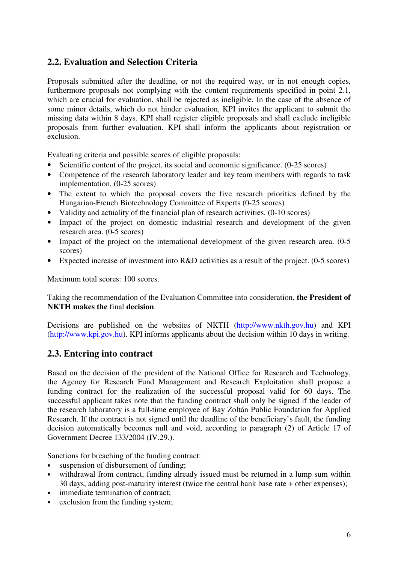# **2.2. Evaluation and Selection Criteria**

Proposals submitted after the deadline, or not the required way, or in not enough copies, furthermore proposals not complying with the content requirements specified in point 2.1, which are crucial for evaluation, shall be rejected as ineligible. In the case of the absence of some minor details, which do not hinder evaluation, KPI invites the applicant to submit the missing data within 8 days. KPI shall register eligible proposals and shall exclude ineligible proposals from further evaluation. KPI shall inform the applicants about registration or exclusion.

Evaluating criteria and possible scores of eligible proposals:

- Scientific content of the project, its social and economic significance. (0-25 scores)
- Competence of the research laboratory leader and key team members with regards to task implementation. (0-25 scores)
- The extent to which the proposal covers the five research priorities defined by the Hungarian-French Biotechnology Committee of Experts (0-25 scores)
- Validity and actuality of the financial plan of research activities. (0-10 scores)
- Impact of the project on domestic industrial research and development of the given research area. (0-5 scores)
- Impact of the project on the international development of the given research area. (0-5) scores)
- Expected increase of investment into R&D activities as a result of the project. (0-5 scores)

Maximum total scores: 100 scores.

Taking the recommendation of the Evaluation Committee into consideration, **the President of NKTH makes the** final **decision**.

Decisions are published on the websites of NKTH (http://www.nkth.gov.hu) and KPI (http://www.kpi.gov.hu). KPI informs applicants about the decision within 10 days in writing.

## **2.3. Entering into contract**

Based on the decision of the president of the National Office for Research and Technology, the Agency for Research Fund Management and Research Exploitation shall propose a funding contract for the realization of the successful proposal valid for 60 days. The successful applicant takes note that the funding contract shall only be signed if the leader of the research laboratory is a full-time employee of Bay Zoltán Public Foundation for Applied Research. If the contract is not signed until the deadline of the beneficiary's fault, the funding decision automatically becomes null and void, according to paragraph (2) of Article 17 of Government Decree 133/2004 (IV.29.).

Sanctions for breaching of the funding contract:

- suspension of disbursement of funding;
- withdrawal from contract, funding already issued must be returned in a lump sum within 30 days, adding post-maturity interest (twice the central bank base rate + other expenses);
- immediate termination of contract;
- exclusion from the funding system;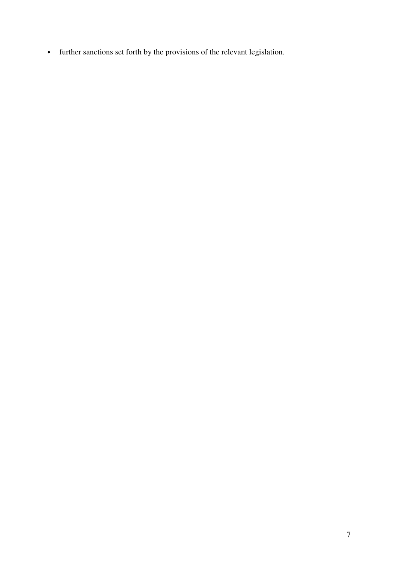• further sanctions set forth by the provisions of the relevant legislation.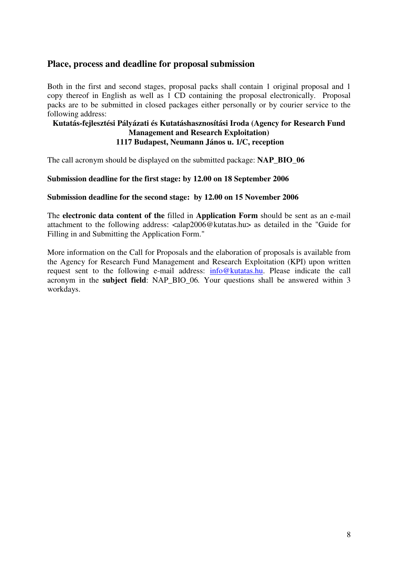## **Place, process and deadline for proposal submission**

Both in the first and second stages, proposal packs shall contain 1 original proposal and 1 copy thereof in English as well as 1 CD containing the proposal electronically. Proposal packs are to be submitted in closed packages either personally or by courier service to the following address:

### **Kutatás-fejlesztési Pályázati és Kutatáshasznosítási Iroda (Agency for Research Fund Management and Research Exploitation) 1117 Budapest, Neumann János u. 1/C, reception**

The call acronym should be displayed on the submitted package: **NAP\_BIO\_06**

#### **Submission deadline for the first stage: by 12.00 on 18 September 2006**

#### **Submission deadline for the second stage: by 12.00 on 15 November 2006**

The **electronic data content of the** filled in **Application Form** should be sent as an e-mail attachment to the following address: <alap2006@kutatas.hu> as detailed in the "Guide for Filling in and Submitting the Application Form."

More information on the Call for Proposals and the elaboration of proposals is available from the Agency for Research Fund Management and Research Exploitation (KPI) upon written request sent to the following e-mail address: info@kutatas.hu. Please indicate the call acronym in the **subject field**: NAP\_BIO\_06*.* Your questions shall be answered within 3 workdays.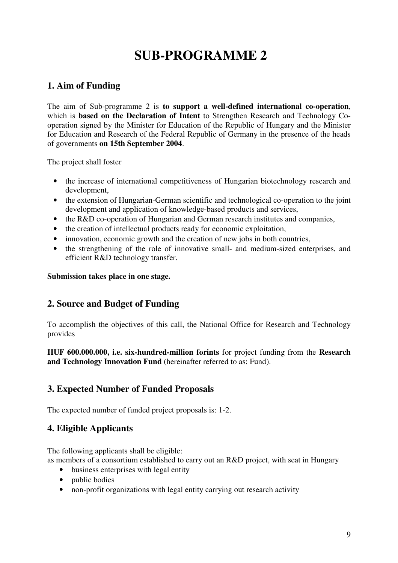# **SUB-PROGRAMME 2**

# **1. Aim of Funding**

The aim of Sub-programme 2 is **to support a well-defined international co-operation**, which is **based on the Declaration of Intent** to Strengthen Research and Technology Cooperation signed by the Minister for Education of the Republic of Hungary and the Minister for Education and Research of the Federal Republic of Germany in the presence of the heads of governments **on 15th September 2004**.

The project shall foster

- the increase of international competitiveness of Hungarian biotechnology research and development,
- the extension of Hungarian-German scientific and technological co-operation to the joint development and application of knowledge-based products and services,
- the R&D co-operation of Hungarian and German research institutes and companies,
- the creation of intellectual products ready for economic exploitation,
- innovation, economic growth and the creation of new jobs in both countries,
- the strengthening of the role of innovative small- and medium-sized enterprises, and efficient R&D technology transfer.

#### **Submission takes place in one stage.**

## **2. Source and Budget of Funding**

To accomplish the objectives of this call, the National Office for Research and Technology provides

**HUF 600.000.000, i.e. six-hundred-million forints** for project funding from the **Research and Technology Innovation Fund** (hereinafter referred to as: Fund).

# **3. Expected Number of Funded Proposals**

The expected number of funded project proposals is: 1-2.

## **4. Eligible Applicants**

The following applicants shall be eligible:

as members of a consortium established to carry out an R&D project, with seat in Hungary

- business enterprises with legal entity
- public bodies
- non-profit organizations with legal entity carrying out research activity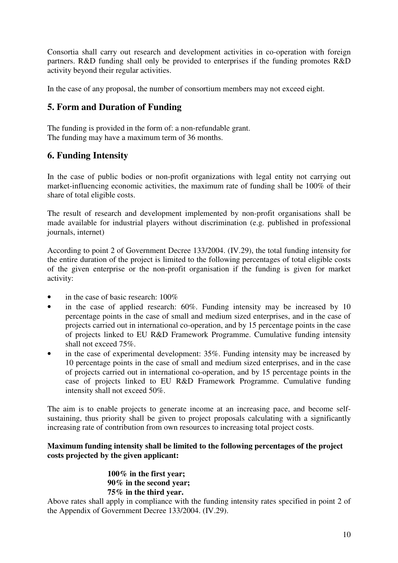Consortia shall carry out research and development activities in co-operation with foreign partners. R&D funding shall only be provided to enterprises if the funding promotes R&D activity beyond their regular activities.

In the case of any proposal, the number of consortium members may not exceed eight.

# **5. Form and Duration of Funding**

The funding is provided in the form of: a non-refundable grant. The funding may have a maximum term of 36 months.

## **6. Funding Intensity**

In the case of public bodies or non-profit organizations with legal entity not carrying out market-influencing economic activities, the maximum rate of funding shall be 100% of their share of total eligible costs.

The result of research and development implemented by non-profit organisations shall be made available for industrial players without discrimination (e.g. published in professional journals, internet)

According to point 2 of Government Decree 133/2004. (IV.29), the total funding intensity for the entire duration of the project is limited to the following percentages of total eligible costs of the given enterprise or the non-profit organisation if the funding is given for market activity:

- in the case of basic research: 100\%
- in the case of applied research: 60%. Funding intensity may be increased by 10 percentage points in the case of small and medium sized enterprises, and in the case of projects carried out in international co-operation, and by 15 percentage points in the case of projects linked to EU R&D Framework Programme. Cumulative funding intensity shall not exceed 75%.
- in the case of experimental development: 35%. Funding intensity may be increased by 10 percentage points in the case of small and medium sized enterprises, and in the case of projects carried out in international co-operation, and by 15 percentage points in the case of projects linked to EU R&D Framework Programme. Cumulative funding intensity shall not exceed 50%.

The aim is to enable projects to generate income at an increasing pace, and become selfsustaining, thus priority shall be given to project proposals calculating with a significantly increasing rate of contribution from own resources to increasing total project costs.

#### **Maximum funding intensity shall be limited to the following percentages of the project costs projected by the given applicant:**

**100% in the first year; 90% in the second year; 75% in the third year.**

Above rates shall apply in compliance with the funding intensity rates specified in point 2 of the Appendix of Government Decree 133/2004. (IV.29).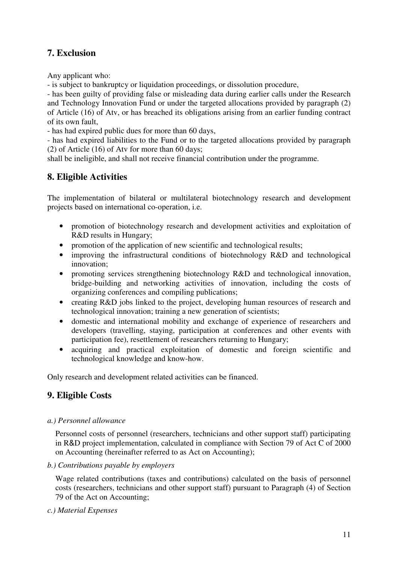# **7. Exclusion**

Any applicant who:

- is subject to bankruptcy or liquidation proceedings, or dissolution procedure,

- has been guilty of providing false or misleading data during earlier calls under the Research and Technology Innovation Fund or under the targeted allocations provided by paragraph (2) of Article (16) of Atv, or has breached its obligations arising from an earlier funding contract of its own fault,

- has had expired public dues for more than 60 days,

- has had expired liabilities to the Fund or to the targeted allocations provided by paragraph (2) of Article (16) of Atv for more than 60 days;

shall be ineligible, and shall not receive financial contribution under the programme.

# **8. Eligible Activities**

The implementation of bilateral or multilateral biotechnology research and development projects based on international co-operation, i.e.

- promotion of biotechnology research and development activities and exploitation of R&D results in Hungary;
- promotion of the application of new scientific and technological results;
- improving the infrastructural conditions of biotechnology R&D and technological innovation;
- promoting services strengthening biotechnology R&D and technological innovation, bridge-building and networking activities of innovation, including the costs of organizing conferences and compiling publications;
- creating R&D jobs linked to the project, developing human resources of research and technological innovation; training a new generation of scientists;
- domestic and international mobility and exchange of experience of researchers and developers (travelling, staying, participation at conferences and other events with participation fee), resettlement of researchers returning to Hungary;
- acquiring and practical exploitation of domestic and foreign scientific and technological knowledge and know-how.

Only research and development related activities can be financed.

# **9. Eligible Costs**

#### *a.) Personnel allowance*

Personnel costs of personnel (researchers, technicians and other support staff) participating in R&D project implementation, calculated in compliance with Section 79 of Act C of 2000 on Accounting (hereinafter referred to as Act on Accounting);

*b.) Contributions payable by employers*

Wage related contributions (taxes and contributions) calculated on the basis of personnel costs (researchers, technicians and other support staff) pursuant to Paragraph (4) of Section 79 of the Act on Accounting;

*c.) Material Expenses*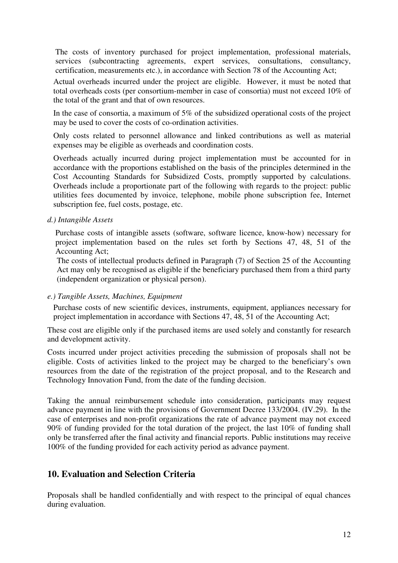The costs of inventory purchased for project implementation, professional materials, services (subcontracting agreements, expert services, consultations, consultancy, certification, measurements etc.), in accordance with Section 78 of the Accounting Act;

Actual overheads incurred under the project are eligible. However, it must be noted that total overheads costs (per consortium-member in case of consortia) must not exceed 10% of the total of the grant and that of own resources.

In the case of consortia, a maximum of 5% of the subsidized operational costs of the project may be used to cover the costs of co-ordination activities.

Only costs related to personnel allowance and linked contributions as well as material expenses may be eligible as overheads and coordination costs.

Overheads actually incurred during project implementation must be accounted for in accordance with the proportions established on the basis of the principles determined in the Cost Accounting Standards for Subsidized Costs, promptly supported by calculations. Overheads include a proportionate part of the following with regards to the project: public utilities fees documented by invoice, telephone, mobile phone subscription fee, Internet subscription fee, fuel costs, postage, etc.

#### *d.) Intangible Assets*

Purchase costs of intangible assets (software, software licence, know-how) necessary for project implementation based on the rules set forth by Sections 47, 48, 51 of the Accounting Act;

The costs of intellectual products defined in Paragraph (7) of Section 25 of the Accounting Act may only be recognised as eligible if the beneficiary purchased them from a third party (independent organization or physical person).

*e.) Tangible Assets, Machines, Equipment*

Purchase costs of new scientific devices, instruments, equipment, appliances necessary for project implementation in accordance with Sections 47, 48, 51 of the Accounting Act;

These cost are eligible only if the purchased items are used solely and constantly for research and development activity.

Costs incurred under project activities preceding the submission of proposals shall not be eligible. Costs of activities linked to the project may be charged to the beneficiary's own resources from the date of the registration of the project proposal, and to the Research and Technology Innovation Fund, from the date of the funding decision.

Taking the annual reimbursement schedule into consideration, participants may request advance payment in line with the provisions of Government Decree 133/2004. (IV.29). In the case of enterprises and non-profit organizations the rate of advance payment may not exceed 90% of funding provided for the total duration of the project, the last 10% of funding shall only be transferred after the final activity and financial reports. Public institutions may receive 100% of the funding provided for each activity period as advance payment.

# **10. Evaluation and Selection Criteria**

Proposals shall be handled confidentially and with respect to the principal of equal chances during evaluation.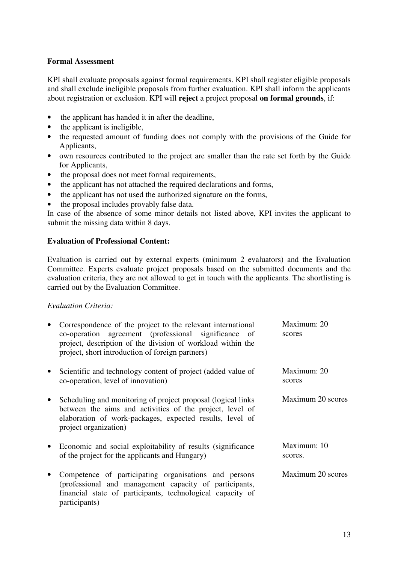#### **Formal Assessment**

KPI shall evaluate proposals against formal requirements. KPI shall register eligible proposals and shall exclude ineligible proposals from further evaluation. KPI shall inform the applicants about registration or exclusion. KPI will **reject** a project proposal **on formal grounds**, if:

- the applicant has handed it in after the deadline,
- the applicant is ineligible,
- the requested amount of funding does not comply with the provisions of the Guide for Applicants,
- own resources contributed to the project are smaller than the rate set forth by the Guide for Applicants,
- the proposal does not meet formal requirements,
- the applicant has not attached the required declarations and forms,
- the applicant has not used the authorized signature on the forms,
- the proposal includes provably false data.

In case of the absence of some minor details not listed above, KPI invites the applicant to submit the missing data within 8 days.

#### **Evaluation of Professional Content:**

Evaluation is carried out by external experts (minimum 2 evaluators) and the Evaluation Committee. Experts evaluate project proposals based on the submitted documents and the evaluation criteria, they are not allowed to get in touch with the applicants. The shortlisting is carried out by the Evaluation Committee.

#### *Evaluation Criteria:*

| $\bullet$ | Correspondence of the project to the relevant international<br>co-operation agreement (professional significance of<br>project, description of the division of workload within the<br>project, short introduction of foreign partners) | Maximum: 20<br>scores  |
|-----------|----------------------------------------------------------------------------------------------------------------------------------------------------------------------------------------------------------------------------------------|------------------------|
| $\bullet$ | Scientific and technology content of project (added value of<br>co-operation, level of innovation)                                                                                                                                     | Maximum: 20<br>scores  |
| $\bullet$ | Scheduling and monitoring of project proposal (logical links<br>between the aims and activities of the project, level of<br>elaboration of work-packages, expected results, level of<br>project organization)                          | Maximum 20 scores      |
| $\bullet$ | Economic and social exploitability of results (significance)<br>of the project for the applicants and Hungary)                                                                                                                         | Maximum: 10<br>scores. |
| $\bullet$ | Competence of participating organisations and persons<br>(professional and management capacity of participants,<br>financial state of participants, technological capacity of<br>participants)                                         | Maximum 20 scores      |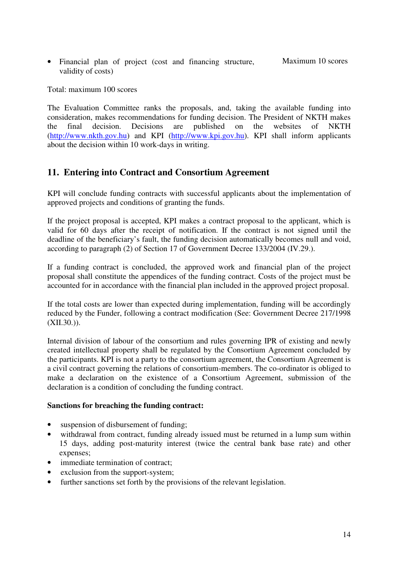• Financial plan of project (cost and financing structure, validity of costs) Maximum 10 scores

Total: maximum 100 scores

The Evaluation Committee ranks the proposals, and, taking the available funding into consideration, makes recommendations for funding decision. The President of NKTH makes the final decision. Decisions are published on the websites of NKTH (http://www.nkth.gov.hu) and KPI (http://www.kpi.gov.hu). KPI shall inform applicants about the decision within 10 work-days in writing.

# **11. Entering into Contract and Consortium Agreement**

KPI will conclude funding contracts with successful applicants about the implementation of approved projects and conditions of granting the funds.

If the project proposal is accepted, KPI makes a contract proposal to the applicant, which is valid for 60 days after the receipt of notification. If the contract is not signed until the deadline of the beneficiary's fault, the funding decision automatically becomes null and void, according to paragraph (2) of Section 17 of Government Decree 133/2004 (IV.29.).

If a funding contract is concluded, the approved work and financial plan of the project proposal shall constitute the appendices of the funding contract. Costs of the project must be accounted for in accordance with the financial plan included in the approved project proposal.

If the total costs are lower than expected during implementation, funding will be accordingly reduced by the Funder, following a contract modification (See: Government Decree 217/1998  $(XII.30.$ ).

Internal division of labour of the consortium and rules governing IPR of existing and newly created intellectual property shall be regulated by the Consortium Agreement concluded by the participants. KPI is not a party to the consortium agreement, the Consortium Agreement is a civil contract governing the relations of consortium-members. The co-ordinator is obliged to make a declaration on the existence of a Consortium Agreement, submission of the declaration is a condition of concluding the funding contract.

#### **Sanctions for breaching the funding contract:**

- suspension of disbursement of funding;
- withdrawal from contract, funding already issued must be returned in a lump sum within 15 days, adding post-maturity interest (twice the central bank base rate) and other expenses;
- immediate termination of contract;
- exclusion from the support-system;
- further sanctions set forth by the provisions of the relevant legislation.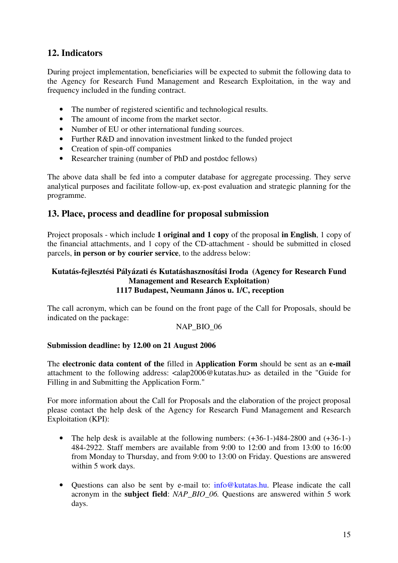# **12. Indicators**

During project implementation, beneficiaries will be expected to submit the following data to the Agency for Research Fund Management and Research Exploitation, in the way and frequency included in the funding contract.

- The number of registered scientific and technological results.
- The amount of income from the market sector.
- Number of EU or other international funding sources.
- Further R&D and innovation investment linked to the funded project
- Creation of spin-off companies
- Researcher training (number of PhD and postdoc fellows)

The above data shall be fed into a computer database for aggregate processing. They serve analytical purposes and facilitate follow-up, ex-post evaluation and strategic planning for the programme.

## **13. Place, process and deadline for proposal submission**

Project proposals - which include **1 original and 1 copy** of the proposal **in English**, 1 copy of the financial attachments, and 1 copy of the CD-attachment - should be submitted in closed parcels, **in person or by courier service**, to the address below:

#### **Kutatás-fejlesztési Pályázati és Kutatáshasznosítási Iroda (Agency for Research Fund Management and Research Exploitation) 1117 Budapest, Neumann János u. 1/C, reception**

The call acronym, which can be found on the front page of the Call for Proposals, should be indicated on the package:

#### NAP\_BIO\_06

#### **Submission deadline: by 12.00 on 21 August 2006**

The **electronic data content of the** filled in **Application Form** should be sent as an **e-mail** attachment to the following address: <alap2006@kutatas.hu> as detailed in the "Guide for Filling in and Submitting the Application Form."

For more information about the Call for Proposals and the elaboration of the project proposal please contact the help desk of the Agency for Research Fund Management and Research Exploitation (KPI):

- The help desk is available at the following numbers:  $(+36-1-)484-2800$  and  $(+36-1-)$ 484-2922. Staff members are available from 9:00 to 12:00 and from 13:00 to 16:00 from Monday to Thursday, and from 9:00 to 13:00 on Friday. Questions are answered within 5 work days.
- Questions can also be sent by e-mail to: info@kutatas.hu. Please indicate the call acronym in the **subject field**: *NAP\_BIO\_06.* Questions are answered within 5 work days.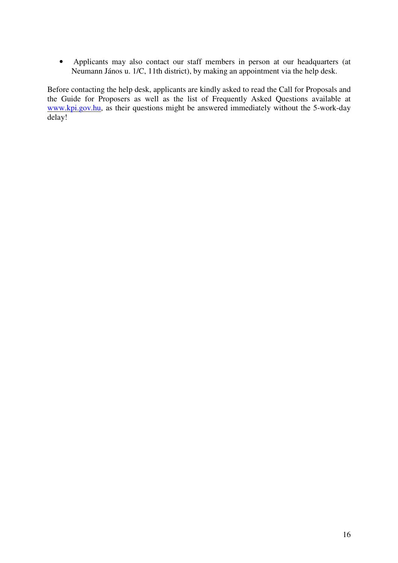• Applicants may also contact our staff members in person at our headquarters (at Neumann János u. 1/C, 11th district), by making an appointment via the help desk.

Before contacting the help desk, applicants are kindly asked to read the Call for Proposals and the Guide for Proposers as well as the list of Frequently Asked Questions available at www.kpi.gov.hu, as their questions might be answered immediately without the 5-work-day delay!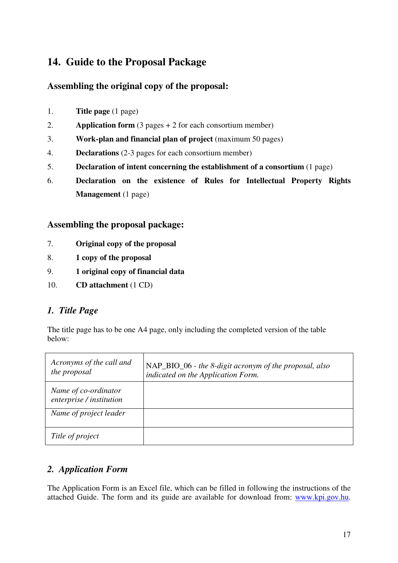# **14. Guide to the Proposal Package**

# **Assembling the original copy of the proposal:**

- 1. **Title page** (1 page)
- 2. **Application form** (3 pages + 2 for each consortium member)
- 3. **Work-plan and financial plan of project** (maximum 50 pages)
- 4. **Declarations** (2-3 pages for each consortium member)
- 5. **Declaration of intent concerning the establishment of a consortium** (1 page)
- 6. **Declaration on the existence of Rules for Intellectual Property Rights Management** (1 page)

## **Assembling the proposal package:**

- 7. **Original copy of the proposal**
- 8. **1 copy of the proposal**
- 9. **1 original copy of financial data**
- 10. **CD attachment** (1 CD)

# *1. Title Page*

The title page has to be one A4 page, only including the completed version of the table below:

| Acronyms of the call and<br>the proposal         | NAP_BIO_06 - the 8-digit acronym of the proposal, also<br>indicated on the Application Form. |
|--------------------------------------------------|----------------------------------------------------------------------------------------------|
| Name of co-ordinator<br>enterprise / institution |                                                                                              |
| Name of project leader                           |                                                                                              |
| Title of project                                 |                                                                                              |

# *2. Application Form*

The Application Form is an Excel file, which can be filled in following the instructions of the attached Guide. The form and its guide are available for download from: www.kpi.gov.hu.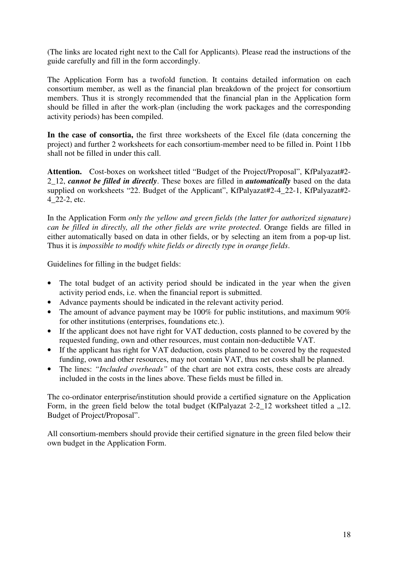(The links are located right next to the Call for Applicants). Please read the instructions of the guide carefully and fill in the form accordingly.

The Application Form has a twofold function. It contains detailed information on each consortium member, as well as the financial plan breakdown of the project for consortium members. Thus it is strongly recommended that the financial plan in the Application form should be filled in after the work-plan (including the work packages and the corresponding activity periods) has been compiled.

**In the case of consortia,** the first three worksheets of the Excel file (data concerning the project) and further 2 worksheets for each consortium-member need to be filled in. Point 11bb shall not be filled in under this call.

**Attention.** Cost-boxes on worksheet titled "Budget of the Project/Proposal", KfPalyazat#2- 2\_12, *cannot be filled in directly*. These boxes are filled in *automatically* based on the data supplied on worksheets "22. Budget of the Applicant", KfPalyazat#2-4\_22-1, KfPalyazat#2- 4\_22-2, etc.

In the Application Form *only the yellow and green fields (the latter for authorized signature) can be filled in directly, all the other fields are write protected*. Orange fields are filled in either automatically based on data in other fields, or by selecting an item from a pop-up list. Thus it is *impossible to modify white fields or directly type in orange fields*.

Guidelines for filling in the budget fields:

- The total budget of an activity period should be indicated in the year when the given activity period ends, i.e. when the financial report is submitted.
- Advance payments should be indicated in the relevant activity period.
- The amount of advance payment may be  $100\%$  for public institutions, and maximum  $90\%$ for other institutions (enterprises, foundations etc.).
- If the applicant does not have right for VAT deduction, costs planned to be covered by the requested funding, own and other resources, must contain non-deductible VAT.
- If the applicant has right for VAT deduction, costs planned to be covered by the requested funding, own and other resources, may not contain VAT, thus net costs shall be planned.
- The lines: *"Included overheads*" of the chart are not extra costs, these costs are already included in the costs in the lines above. These fields must be filled in.

The co-ordinator enterprise/institution should provide a certified signature on the Application Form, in the green field below the total budget (KfPalyazat  $2-2$   $12$  worksheet titled a  $,12$ . Budget of Project/Proposal".

All consortium-members should provide their certified signature in the green filed below their own budget in the Application Form.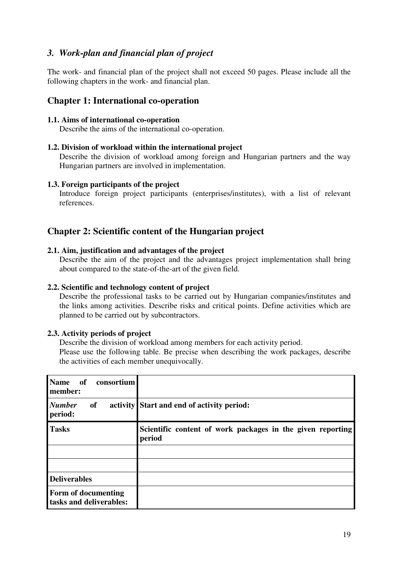# *3. Work-plan and financial plan of project*

The work- and financial plan of the project shall not exceed 50 pages. Please include all the following chapters in the work- and financial plan.

## **Chapter 1: International co-operation**

#### **1.1. Aims of international co-operation**

Describe the aims of the international co-operation.

#### **1.2. Division of workload within the international project**

Describe the division of workload among foreign and Hungarian partners and the way Hungarian partners are involved in implementation.

#### **1.3. Foreign participants of the project**

Introduce foreign project participants (enterprises/institutes), with a list of relevant references.

## **Chapter 2: Scientific content of the Hungarian project**

#### **2.1. Aim, justification and advantages of the project**

Describe the aim of the project and the advantages project implementation shall bring about compared to the state-of-the-art of the given field.

#### **2.2. Scientific and technology content of project**

Describe the professional tasks to be carried out by Hungarian companies/institutes and the links among activities. Describe risks and critical points. Define activities which are planned to be carried out by subcontractors.

#### **2.3. Activity periods of project**

Describe the division of workload among members for each activity period.

Please use the following table. Be precise when describing the work packages, describe the activities of each member unequivocally.

| <b>Name</b><br>of<br>consortium<br>member:     |                                                                      |
|------------------------------------------------|----------------------------------------------------------------------|
| <b>Number</b><br>of<br>period:                 | activity Start and end of activity period:                           |
| <b>Tasks</b>                                   | Scientific content of work packages in the given reporting<br>period |
|                                                |                                                                      |
|                                                |                                                                      |
| <b>Deliverables</b>                            |                                                                      |
| Form of documenting<br>tasks and deliverables: |                                                                      |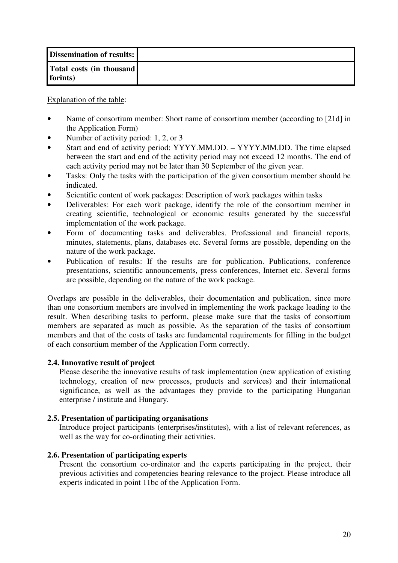| <b>Dissemination of results:</b>     |  |
|--------------------------------------|--|
| Total costs (in thousand<br>forints) |  |

Explanation of the table:

- Name of consortium member: Short name of consortium member (according to [21d] in the Application Form)
- Number of activity period: 1, 2, or 3
- Start and end of activity period: YYYY.MM.DD. YYYY.MM.DD. The time elapsed between the start and end of the activity period may not exceed 12 months. The end of each activity period may not be later than 30 September of the given year.
- Tasks: Only the tasks with the participation of the given consortium member should be indicated.
- Scientific content of work packages: Description of work packages within tasks
- Deliverables: For each work package, identify the role of the consortium member in creating scientific, technological or economic results generated by the successful implementation of the work package.
- Form of documenting tasks and deliverables. Professional and financial reports, minutes, statements, plans, databases etc. Several forms are possible, depending on the nature of the work package.
- Publication of results: If the results are for publication. Publications, conference presentations, scientific announcements, press conferences, Internet etc. Several forms are possible, depending on the nature of the work package.

Overlaps are possible in the deliverables, their documentation and publication, since more than one consortium members are involved in implementing the work package leading to the result. When describing tasks to perform, please make sure that the tasks of consortium members are separated as much as possible. As the separation of the tasks of consortium members and that of the costs of tasks are fundamental requirements for filling in the budget of each consortium member of the Application Form correctly.

#### **2.4. Innovative result of project**

Please describe the innovative results of task implementation (new application of existing technology, creation of new processes, products and services) and their international significance, as well as the advantages they provide to the participating Hungarian enterprise / institute and Hungary.

#### **2.5. Presentation of participating organisations**

Introduce project participants (enterprises/institutes), with a list of relevant references, as well as the way for co-ordinating their activities.

#### **2.6. Presentation of participating experts**

Present the consortium co-ordinator and the experts participating in the project, their previous activities and competencies bearing relevance to the project. Please introduce all experts indicated in point 11bc of the Application Form.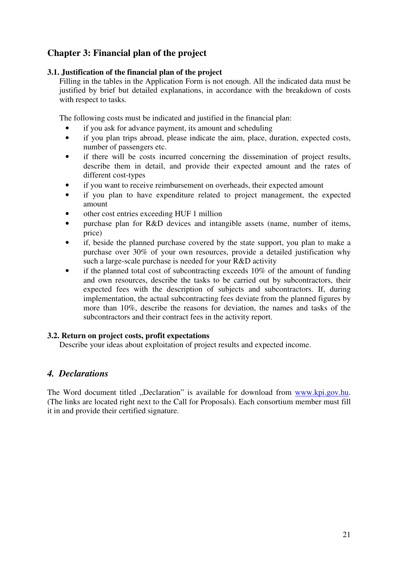# **Chapter 3: Financial plan of the project**

#### **3.1. Justification of the financial plan of the project**

Filling in the tables in the Application Form is not enough. All the indicated data must be justified by brief but detailed explanations, in accordance with the breakdown of costs with respect to tasks.

The following costs must be indicated and justified in the financial plan:

- if you ask for advance payment, its amount and scheduling
- if you plan trips abroad, please indicate the aim, place, duration, expected costs, number of passengers etc.
- if there will be costs incurred concerning the dissemination of project results, describe them in detail, and provide their expected amount and the rates of different cost-types
- if you want to receive reimbursement on overheads, their expected amount
- if you plan to have expenditure related to project management, the expected amount
- other cost entries exceeding HUF 1 million
- purchase plan for R&D devices and intangible assets (name, number of items, price)
- if, beside the planned purchase covered by the state support, you plan to make a purchase over 30% of your own resources, provide a detailed justification why such a large-scale purchase is needed for your R&D activity
- if the planned total cost of subcontracting exceeds 10% of the amount of funding and own resources, describe the tasks to be carried out by subcontractors, their expected fees with the description of subjects and subcontractors. If, during implementation, the actual subcontracting fees deviate from the planned figures by more than 10%, describe the reasons for deviation, the names and tasks of the subcontractors and their contract fees in the activity report.

#### **3.2. Return on project costs, profit expectations**

Describe your ideas about exploitation of project results and expected income.

# *4. Declarations*

The Word document titled "Declaration" is available for download from www.kpi.gov.hu. (The links are located right next to the Call for Proposals). Each consortium member must fill it in and provide their certified signature.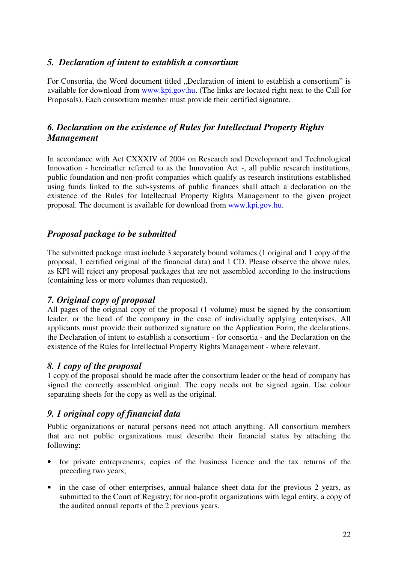## *5. Declaration of intent to establish a consortium*

For Consortia, the Word document titled "Declaration of intent to establish a consortium" is available for download from www.kpi.gov.hu. (The links are located right next to the Call for Proposals). Each consortium member must provide their certified signature.

# *6. Declaration on the existence of Rules for Intellectual Property Rights Management*

In accordance with Act CXXXIV of 2004 on Research and Development and Technological Innovation - hereinafter referred to as the Innovation Act -, all public research institutions, public foundation and non-profit companies which qualify as research institutions established using funds linked to the sub-systems of public finances shall attach a declaration on the existence of the Rules for Intellectual Property Rights Management to the given project proposal. The document is available for download from www.kpi.gov.hu.

## *Proposal package to be submitted*

The submitted package must include 3 separately bound volumes (1 original and 1 copy of the proposal, 1 certified original of the financial data) and 1 CD. Please observe the above rules, as KPI will reject any proposal packages that are not assembled according to the instructions (containing less or more volumes than requested).

# *7. Original copy of proposal*

All pages of the original copy of the proposal (1 volume) must be signed by the consortium leader, or the head of the company in the case of individually applying enterprises. All applicants must provide their authorized signature on the Application Form, the declarations, the Declaration of intent to establish a consortium - for consortia - and the Declaration on the existence of the Rules for Intellectual Property Rights Management - where relevant.

## *8. 1 copy of the proposal*

1 copy of the proposal should be made after the consortium leader or the head of company has signed the correctly assembled original. The copy needs not be signed again. Use colour separating sheets for the copy as well as the original.

# *9. 1 original copy of financial data*

Public organizations or natural persons need not attach anything. All consortium members that are not public organizations must describe their financial status by attaching the following:

- for private entrepreneurs, copies of the business licence and the tax returns of the preceding two years;
- in the case of other enterprises, annual balance sheet data for the previous 2 years, as submitted to the Court of Registry; for non-profit organizations with legal entity, a copy of the audited annual reports of the 2 previous years.